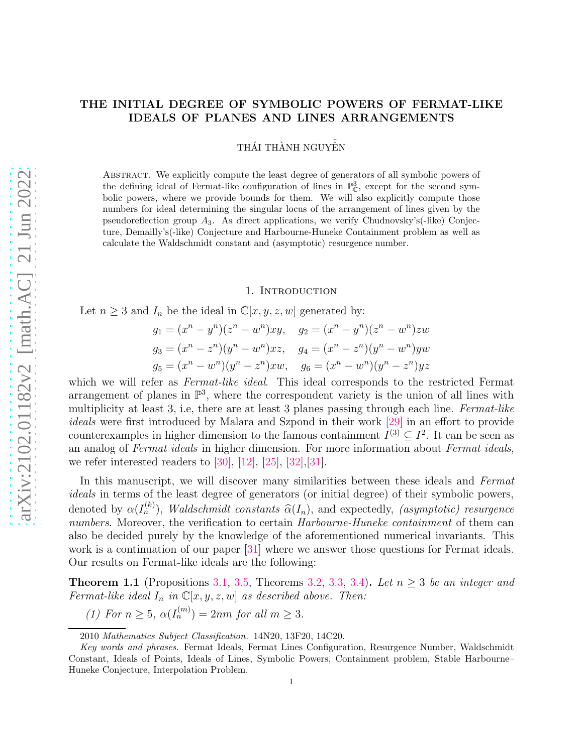### THE INITIAL DEGREE OF SYMBOLIC POWERS OF FERMAT-LIKE IDEALS OF PLANES AND LINES ARRANGEMENTS

THÁI THÀNH NGUYỀN

Abstract. We explicitly compute the least degree of generators of all symbolic powers of the defining ideal of Fermat-like configuration of lines in  $\mathbb{P}_{\mathbb{C}}^3$ , except for the second symbolic powers, where we provide bounds for them. We will also explicitly compute those numbers for ideal determining the singular locus of the arrangement of lines given by the pseudoreflection group  $A_3$ . As direct applications, we verify Chudnovsky's(-like) Conjecture, Demailly's(-like) Conjecture and Harbourne-Huneke Containment problem as well as calculate the Waldschmidt constant and (asymptotic) resurgence number.

#### 1. INTRODUCTION

Let  $n \geq 3$  and  $I_n$  be the ideal in  $\mathbb{C}[x, y, z, w]$  generated by:

$$
g_1 = (x^n - y^n)(z^n - w^n)xy, \quad g_2 = (x^n - y^n)(z^n - w^n)zw
$$
  
\n
$$
g_3 = (x^n - z^n)(y^n - w^n)xz, \quad g_4 = (x^n - z^n)(y^n - w^n)yw
$$
  
\n
$$
g_5 = (x^n - w^n)(y^n - z^n)xw, \quad g_6 = (x^n - w^n)(y^n - z^n)yz
$$

which we will refer as *Fermat-like ideal*. This ideal corresponds to the restricted Fermat arrangement of planes in  $\mathbb{P}^3$ , where the correspondent variety is the union of all lines with multiplicity at least 3, i.e, there are at least 3 planes passing through each line. *Fermat-like ideals* were first introduced by Malara and Szpond in their work [\[29\]](#page-17-0) in an effort to provide counterexamples in higher dimension to the famous containment  $I^{(3)} \subseteq I^2$ . It can be seen as an analog of *Fermat ideals* in higher dimension. For more information about *Fermat ideals*, we refer interested readers to  $[30]$ ,  $[12]$ ,  $[25]$ ,  $[32]$ ,  $[31]$ .

In this manuscript, we will discover many similarities between these ideals and *Fermat ideals* in terms of the least degree of generators (or initial degree) of their symbolic powers, denoted by  $\alpha(I_n^{(k)})$ , *Waldschmidt constants*  $\widehat{\alpha}(I_n)$ , and expectedly, *(asymptotic) resurgence numbers*. Moreover, the verification to certain *Harbourne-Huneke containment* of them can also be decided purely by the knowledge of the aforementioned numerical invariants. This work is a continuation of our paper [\[31\]](#page-17-3) where we answer those questions for Fermat ideals. Our results on Fermat-like ideals are the following:

**Theorem 1.1** (Propositions [3.1,](#page-5-0) [3.5,](#page-6-0) Theorems [3.2,](#page-5-1) [3.3,](#page-5-2) [3.4\)](#page-5-3). Let  $n \geq 3$  be an integer and *Fermat-like ideal*  $I_n$  *in*  $\mathbb{C}[x, y, z, w]$  *as described above. Then:* 

*(1)* For  $n \ge 5$ ,  $\alpha(I_n^{(m)}) = 2nm$  for all  $m \ge 3$ .

<sup>2010</sup> *Mathematics Subject Classification.* 14N20, 13F20, 14C20.

*Key words and phrases.* Fermat Ideals, Fermat Lines Configuration, Resurgence Number, Waldschmidt Constant, Ideals of Points, Ideals of Lines, Symbolic Powers, Containment problem, Stable Harbourne– Huneke Conjecture, Interpolation Problem.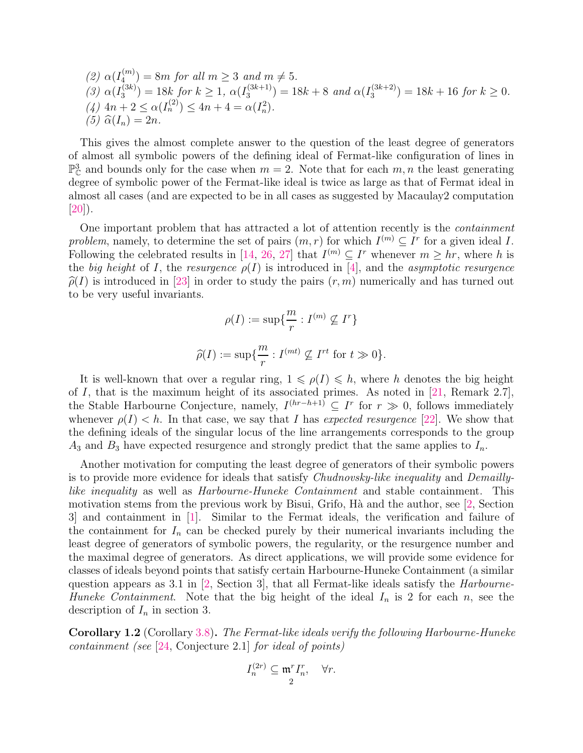(2) 
$$
\alpha(I_4^{(m)}) = 8m
$$
 for all  $m \ge 3$  and  $m \ne 5$ .  
\n(3)  $\alpha(I_3^{(3k)}) = 18k$  for  $k \ge 1$ ,  $\alpha(I_3^{(3k+1)}) = 18k + 8$  and  $\alpha(I_3^{(3k+2)}) = 18k + 16$  for  $k \ge 0$ .  
\n(4)  $4n + 2 \le \alpha(I_n^{(2)}) \le 4n + 4 = \alpha(I_n^2)$ .  
\n(5)  $\hat{\alpha}(I_n) = 2n$ .

This gives the almost complete answer to the question of the least degree of generators of almost all symbolic powers of the defining ideal of Fermat-like configuration of lines in  $\mathbb{P}^3_{\mathbb{C}}$  and bounds only for the case when  $m=2$ . Note that for each  $m, n$  the least generating degree of symbolic power of the Fermat-like ideal is twice as large as that of Fermat ideal in almost all cases (and are expected to be in all cases as suggested by Macaulay2 computation [\[20\]](#page-16-2)).

One important problem that has attracted a lot of attention recently is the *containment* problem, namely, to determine the set of pairs  $(m, r)$  for which  $I^{(m)} \subseteq I^r$  for a given ideal I. Following the celebrated results in [\[14,](#page-16-3) [26,](#page-16-4) [27\]](#page-16-5) that  $I^{(m)} \subseteq I^r$  whenever  $m \geq hr$ , where h is the *big height* of I, the *resurgence*  $\rho(I)$  is introduced in [\[4\]](#page-16-6), and the *asymptotic resurgence*  $\hat{\rho}(I)$  is introduced in [\[23\]](#page-16-7) in order to study the pairs  $(r, m)$  numerically and has turned out to be very useful invariants.

$$
\rho(I) := \sup \{ \frac{m}{r} : I^{(m)} \nsubseteq I^r \}
$$

$$
\widehat{\rho}(I) := \sup \{ \frac{m}{r} : I^{(mt)} \nsubseteq I^{rt} \text{ for } t \gg 0 \}.
$$

r

It is well-known that over a regular ring,  $1 \leq \rho(I) \leq h$ , where h denotes the big height of I, that is the maximum height of its associated primes. As noted in  $[21,$  Remark 2.7], the Stable Harbourne Conjecture, namely,  $I^{(hr-h+1)} \subseteq I^r$  for  $r \gg 0$ , follows immediately whenever  $\rho(I) < h$ . In that case, we say that I has *expected resurgence* [\[22\]](#page-16-9). We show that the defining ideals of the singular locus of the line arrangements corresponds to the group  $A_3$  and  $B_3$  have expected resurgence and strongly predict that the same applies to  $I_n$ .

Another motivation for computing the least degree of generators of their symbolic powers is to provide more evidence for ideals that satisfy *Chudnovsky-like inequality* and *Demaillylike inequality* as well as *Harbourne-Huneke Containment* and stable containment. This motivation stems from the previous work by Bisui, Grifo, Hà and the author, see  $(2,$  Section 3] and containment in [\[1\]](#page-15-1). Similar to the Fermat ideals, the verification and failure of the containment for  $I_n$  can be checked purely by their numerical invariants including the least degree of generators of symbolic powers, the regularity, or the resurgence number and the maximal degree of generators. As direct applications, we will provide some evidence for classes of ideals beyond points that satisfy certain Harbourne-Huneke Containment (a similar question appears as 3.1 in [\[2,](#page-15-0) Section 3], that all Fermat-like ideals satisfy the *Harbourne-Huneke Containment*. Note that the big height of the ideal  $I_n$  is 2 for each n, see the description of  $I_n$  in section 3.

Corollary 1.2 (Corollary [3.8\)](#page-7-0). *The Fermat-like ideals verify the following Harbourne-Huneke containment (see* [\[24,](#page-16-10) Conjecture 2.1] *for ideal of points)*

$$
I_n^{(2r)} \subseteq \mathfrak{m}^r I_n^r, \quad \forall r.
$$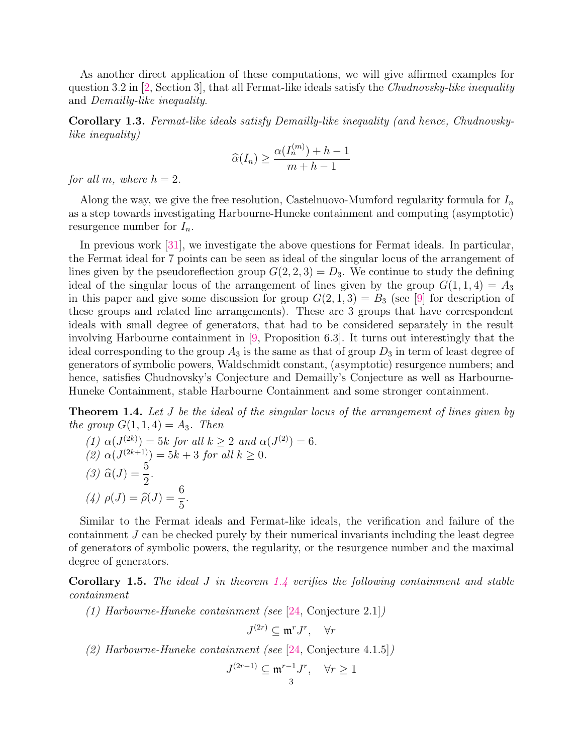As another direct application of these computations, we will give affirmed examples for question 3.2 in [\[2,](#page-15-0) Section 3], that all Fermat-like ideals satisfy the *Chudnovsky-like inequality* and *Demailly-like inequality*.

Corollary 1.3. *Fermat-like ideals satisfy Demailly-like inequality (and hence, Chudnovskylike inequality)*

$$
\widehat{\alpha}(I_n) \ge \frac{\alpha(I_n^{(m)}) + h - 1}{m + h - 1}
$$

*for all m, where*  $h = 2$ *.* 

Along the way, we give the free resolution, Castelnuovo-Mumford regularity formula for  $I_n$ as a step towards investigating Harbourne-Huneke containment and computing (asymptotic) resurgence number for  $I_n$ .

In previous work [\[31\]](#page-17-3), we investigate the above questions for Fermat ideals. In particular, the Fermat ideal for 7 points can be seen as ideal of the singular locus of the arrangement of lines given by the pseudoreflection group  $G(2, 2, 3) = D_3$ . We continue to study the defining ideal of the singular locus of the arrangement of lines given by the group  $G(1, 1, 4) = A_3$ in this paper and give some discussion for group  $G(2, 1, 3) = B_3$  (see [\[9\]](#page-16-11) for description of these groups and related line arrangements). These are 3 groups that have correspondent ideals with small degree of generators, that had to be considered separately in the result involving Harbourne containment in [\[9,](#page-16-11) Proposition 6.3]. It turns out interestingly that the ideal corresponding to the group  $A_3$  is the same as that of group  $D_3$  in term of least degree of generators of symbolic powers, Waldschmidt constant, (asymptotic) resurgence numbers; and hence, satisfies Chudnovsky's Conjecture and Demailly's Conjecture as well as Harbourne-Huneke Containment, stable Harbourne Containment and some stronger containment.

<span id="page-2-0"></span>Theorem 1.4. *Let* J *be the ideal of the singular locus of the arrangement of lines given by the group*  $G(1, 1, 4) = A_3$ *. Then* 

(1) 
$$
\alpha(J^{(2k)}) = 5k
$$
 for all  $k \ge 2$  and  $\alpha(J^{(2)}) = 6$ .  
\n(2)  $\alpha(J^{(2k+1)}) = 5k + 3$  for all  $k \ge 0$ .  
\n(3)  $\hat{\alpha}(J) = \frac{5}{2}$ .  
\n(4)  $\rho(J) = \hat{\rho}(J) = \frac{6}{5}$ .

Similar to the Fermat ideals and Fermat-like ideals, the verification and failure of the containment J can be checked purely by their numerical invariants including the least degree of generators of symbolic powers, the regularity, or the resurgence number and the maximal degree of generators.

Corollary 1.5. *The ideal* J *in theorem [1.4](#page-2-0) verifies the following containment and stable containment*

*(1) Harbourne-Huneke containment (see* [\[24,](#page-16-10) Conjecture 2.1]*)*

$$
J^{(2r)} \subseteq \mathfrak{m}^r J^r, \quad \forall r
$$

*(2) Harbourne-Huneke containment (see* [\[24,](#page-16-10) Conjecture 4.1.5]*)*

$$
J^{(2r-1)} \subseteq \mathfrak{m}^{r-1} J^r, \quad \forall r \ge 1
$$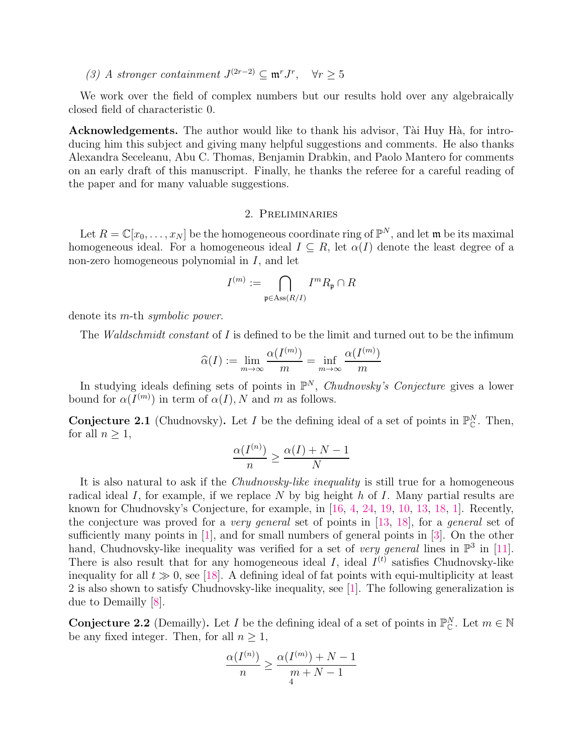(3) A stronger containment  $J^{(2r-2)}$  ⊆  $\mathfrak{m}^r J^r$ ,  $\forall r \geq 5$ 

We work over the field of complex numbers but our results hold over any algebraically closed field of characteristic 0.

Acknowledgements. The author would like to thank his advisor, Tài Huy Hà, for introducing him this subject and giving many helpful suggestions and comments. He also thanks Alexandra Seceleanu, Abu C. Thomas, Benjamin Drabkin, and Paolo Mantero for comments on an early draft of this manuscript. Finally, he thanks the referee for a careful reading of the paper and for many valuable suggestions.

### 2. Preliminaries

Let  $R = \mathbb{C}[x_0, \ldots, x_N]$  be the homogeneous coordinate ring of  $\mathbb{P}^N$ , and let  $\mathfrak{m}$  be its maximal homogeneous ideal. For a homogeneous ideal  $I \subseteq R$ , let  $\alpha(I)$  denote the least degree of a non-zero homogeneous polynomial in  $I$ , and let

$$
I^{(m)}:=\bigcap_{\mathfrak{p}\in \operatorname{Ass}(R/I)}I^mR_{\mathfrak{p}}\cap R
$$

denote its m-th *symbolic power*.

The *Waldschmidt constant* of I is defined to be the limit and turned out to be the infimum

$$
\widehat{\alpha}(I) := \lim_{m \to \infty} \frac{\alpha(I^{(m)})}{m} = \inf_{m \to \infty} \frac{\alpha(I^{(m)})}{m}
$$

In studying ideals defining sets of points in  $\mathbb{P}^N$ , *Chudnovsky's Conjecture* gives a lower bound for  $\alpha(I^{(m)})$  in term of  $\alpha(I)$ , N and m as follows.

**Conjecture 2.1** (Chudnovsky). Let I be the defining ideal of a set of points in  $\mathbb{P}_{\mathbb{C}}^N$ . Then, for all  $n \geq 1$ ,

$$
\frac{\alpha(I^{(n)})}{n} \ge \frac{\alpha(I) + N - 1}{N}
$$

It is also natural to ask if the *Chudnovsky-like inequality* is still true for a homogeneous radical ideal I, for example, if we replace N by big height h of I. Many partial results are known for Chudnovsky's Conjecture, for example, in [\[16,](#page-16-12) [4,](#page-16-6) [24,](#page-16-10) [19,](#page-16-13) [10,](#page-16-14) [13,](#page-16-15) [18,](#page-16-16) [1\]](#page-15-1). Recently, the conjecture was proved for a *very general* set of points in [\[13,](#page-16-15) [18\]](#page-16-16), for a *general* set of sufficiently many points in  $[1]$ , and for small numbers of general points in  $[3]$ . On the other hand, Chudnovsky-like inequality was verified for a set of *very general* lines in  $\mathbb{P}^3$  in [\[11\]](#page-16-18). There is also result that for any homogeneous ideal I, ideal  $I<sup>(t)</sup>$  satisfies Chudnovsky-like inequality for all  $t \gg 0$ , see [\[18\]](#page-16-16). A defining ideal of fat points with equi-multiplicity at least 2 is also shown to satisfy Chudnovsky-like inequality, see [\[1\]](#page-15-1). The following generalization is due to Demailly [\[8\]](#page-16-19).

**Conjecture 2.2** (Demailly). Let I be the defining ideal of a set of points in  $\mathbb{P}_{\mathbb{C}}^N$ . Let  $m \in \mathbb{N}$ be any fixed integer. Then, for all  $n \geq 1$ ,

$$
\frac{\alpha(I^{(n)})}{n} \ge \frac{\alpha(I^{(m)}) + N - 1}{m + N - 1}
$$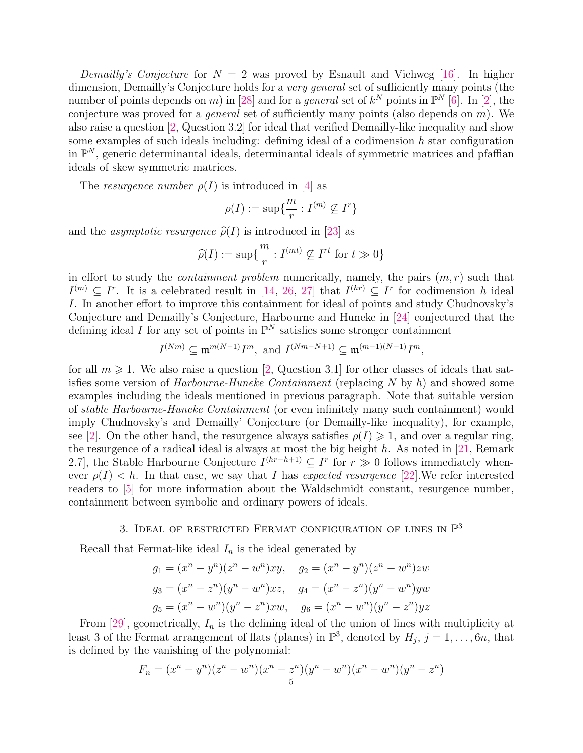*Demailly's Conjecture* for  $N = 2$  was proved by Esnault and Viehweg [\[16\]](#page-16-12). In higher dimension, Demailly's Conjecture holds for a *very general* set of sufficiently many points (the number of points depends on m) in [\[28\]](#page-16-20) and for a *general* set of  $k^N$  points in  $\mathbb{P}^N$  [\[6\]](#page-16-21). In [\[2\]](#page-15-0), the conjecture was proved for a *general* set of sufficiently many points (also depends on m). We also raise a question [\[2,](#page-15-0) Question 3.2] for ideal that verified Demailly-like inequality and show some examples of such ideals including: defining ideal of a codimension  $h$  star configuration in  $\mathbb{P}^N$ , generic determinantal ideals, determinantal ideals of symmetric matrices and pfaffian ideals of skew symmetric matrices.

The *resurgence number*  $\rho(I)$  is introduced in [\[4\]](#page-16-6) as

$$
\rho(I):=\sup\{\frac{m}{r}:I^{(m)}\not\subseteq I^r\}
$$

and the *asymptotic resurgence*  $\hat{\rho}(I)$  is introduced in [\[23\]](#page-16-7) as

$$
\widehat{\rho}(I) := \sup \{ \frac{m}{r} : I^{(mt)} \nsubseteq I^{rt} \text{ for } t \gg 0 \}
$$

in effort to study the *containment problem* numerically, namely, the pairs  $(m, r)$  such that  $I^{(m)} \subseteq I^r$ . It is a celebrated result in [\[14,](#page-16-3) [26,](#page-16-4) [27\]](#page-16-5) that  $I^{(hr)} \subseteq I^r$  for codimension h ideal I. In another effort to improve this containment for ideal of points and study Chudnovsky's Conjecture and Demailly's Conjecture, Harbourne and Huneke in [\[24\]](#page-16-10) conjectured that the defining ideal I for any set of points in  $\mathbb{P}^N$  satisfies some stronger containment

$$
I^{(Nm)} \subseteq \mathfrak{m}^{m(N-1)}I^m
$$
, and  $I^{(Nm-N+1)} \subseteq \mathfrak{m}^{(m-1)(N-1)}I^m$ ,

for all  $m \geq 1$ . We also raise a question [\[2,](#page-15-0) Question 3.1] for other classes of ideals that satisfies some version of *Harbourne-Huneke Containment* (replacing N by h) and showed some examples including the ideals mentioned in previous paragraph. Note that suitable version of *stable Harbourne-Huneke Containment* (or even infinitely many such containment) would imply Chudnovsky's and Demailly' Conjecture (or Demailly-like inequality), for example, see [\[2\]](#page-15-0). On the other hand, the resurgence always satisfies  $\rho(I) \geq 1$ , and over a regular ring, the resurgence of a radical ideal is always at most the big height  $h$ . As noted in [\[21,](#page-16-8) Remark 2.7], the Stable Harbourne Conjecture  $I^{(hr-h+1)} \subseteq I^r$  for  $r \gg 0$  follows immediately whenever  $\rho(I) < h$ . In that case, we say that I has *expected resurgence* [\[22\]](#page-16-9). We refer interested readers to [\[5\]](#page-16-22) for more information about the Waldschmidt constant, resurgence number, containment between symbolic and ordinary powers of ideals.

## 3. IDEAL OF RESTRICTED FERMAT CONFIGURATION OF LINES IN  $\mathbb{P}^3$

Recall that Fermat-like ideal  $I_n$  is the ideal generated by

$$
g_1 = (x^n - y^n)(z^n - w^n)xy, \quad g_2 = (x^n - y^n)(z^n - w^n)zw
$$
  
\n
$$
g_3 = (x^n - z^n)(y^n - w^n)xz, \quad g_4 = (x^n - z^n)(y^n - w^n)yw
$$
  
\n
$$
g_5 = (x^n - w^n)(y^n - z^n)xw, \quad g_6 = (x^n - w^n)(y^n - z^n)yz
$$

From  $[29]$ , geometrically,  $I_n$  is the defining ideal of the union of lines with multiplicity at least 3 of the Fermat arrangement of flats (planes) in  $\mathbb{P}^3$ , denoted by  $H_j$ ,  $j = 1, \ldots, 6n$ , that is defined by the vanishing of the polynomial:

$$
F_n = (x^n - y^n)(z^n - w^n)(x^n - z^n)(y^n - w^n)(x^n - w^n)(y^n - z^n)
$$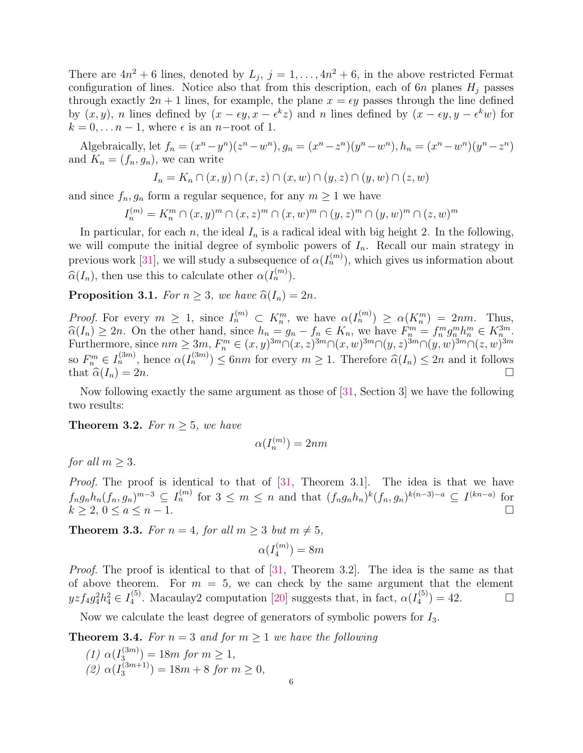There are  $4n^2 + 6$  lines, denoted by  $L_j$ ,  $j = 1, ..., 4n^2 + 6$ , in the above restricted Fermat configuration of lines. Notice also that from this description, each of  $6n$  planes  $H_i$  passes through exactly  $2n + 1$  lines, for example, the plane  $x = \epsilon y$  passes through the line defined by  $(x, y)$ , n lines defined by  $(x - \epsilon y, x - \epsilon^k z)$  and n lines defined by  $(x - \epsilon y, y - \epsilon^k w)$  for  $k = 0, \ldots n-1$ , where  $\epsilon$  is an n-root of 1.

Algebraically, let  $f_n = (x^n - y^n)(z^n - w^n)$ ,  $g_n = (x^n - z^n)(y^n - w^n)$ ,  $h_n = (x^n - w^n)(y^n - z^n)$ and  $K_n = (f_n, g_n)$ , we can write

$$
I_n = K_n \cap (x, y) \cap (x, z) \cap (x, w) \cap (y, z) \cap (y, w) \cap (z, w)
$$

and since  $f_n, g_n$  form a regular sequence, for any  $m \geq 1$  we have

 $I_n^{(m)} = K_n^m \cap (x, y)^m \cap (x, z)^m \cap (x, w)^m \cap (y, z)^m \cap (y, w)^m \cap (z, w)^m$ 

In particular, for each n, the ideal  $I_n$  is a radical ideal with big height 2. In the following, we will compute the initial degree of symbolic powers of  $I_n$ . Recall our main strategy in previous work [\[31\]](#page-17-3), we will study a subsequence of  $\alpha(I_n^{(m)})$ , which gives us information about  $\widehat{\alpha}(I_n)$ , then use this to calculate other  $\alpha(I_n^{(m)})$ .

<span id="page-5-0"></span>**Proposition 3.1.** *For*  $n \geq 3$ *, we have*  $\widehat{\alpha}(I_n) = 2n$ *.* 

*Proof.* For every  $m \geq 1$ , since  $I_n^{(m)} \subset K_n^m$ , we have  $\alpha(I_n^{(m)}) \geq \alpha(K_n^m) = 2nm$ . Thus,  $\widehat{\alpha}(I_n) \geq 2n$ . On the other hand, since  $h_n = g_n - f_n \in K_n$ , we have  $F_n^m = f_n^m g_n^m h_n^m \in K_n^{3m}$ . Furthermore, since  $nm \geq 3m$ ,  $F_n^m \in (x, y)^{3m} \cap (x, z)^{3m} \cap (x, w)^{3m} \cap (y, z)^{3m} \cap (y, w)^{3m} \cap (z, w)^{3m}$ so  $F_n^m \in I_n^{(3m)}$ , hence  $\alpha(I_n^{(3m)}) \leq 6nm$  for every  $m \geq 1$ . Therefore  $\widehat{\alpha}(I_n) \leq 2n$  and it follows that  $\widehat{\alpha}(I_n) = 2n$ .

Now following exactly the same argument as those of [\[31,](#page-17-3) Section 3] we have the following two results:

<span id="page-5-1"></span>**Theorem 3.2.** *For*  $n \geq 5$ *, we have* 

$$
\alpha(I_n^{(m)}) = 2nm
$$

*for all*  $m \geq 3$ *.* 

*Proof.* The proof is identical to that of [\[31,](#page-17-3) Theorem 3.1]. The idea is that we have  $f_ng_nh_n(f_n,g_n)^{m-3} \subseteq I_n^{(m)}$  for  $3 \leq m \leq n$  and that  $(f_ng_nh_n)^k(f_n,g_n)^{k(n-3)-a} \subseteq I^{(kn-a)}$  for  $k \ge 2, \, 0 \le a \le n-1.$ 

<span id="page-5-2"></span>**Theorem 3.3.** *For*  $n = 4$ *, for all*  $m \geq 3$  *but*  $m \neq 5$ *,* 

$$
\alpha(I_4^{(m)}) = 8m
$$

*Proof.* The proof is identical to that of [\[31,](#page-17-3) Theorem 3.2]. The idea is the same as that of above theorem. For  $m = 5$ , we can check by the same argument that the element  $yzf_4g_4^2h_4^2 \in I_4^{(5)}$ <sup>(5)</sup>. Macaulay2 computation [\[20\]](#page-16-2) suggests that, in fact,  $\alpha(I_4^{(5)})$  $\binom{4}{4}$  = 42.

Now we calculate the least degree of generators of symbolic powers for  $I_3$ .

<span id="page-5-3"></span>**Theorem 3.4.** For  $n = 3$  and for  $m \ge 1$  we have the following

(1)  $\alpha(I_3^{(3m)}$  $\binom{(3m)}{3} = 18m$  *for*  $m \geq 1$ *,* (2)  $\alpha(I_3^{(3m+1)}$  $\binom{(3m+1)}{3} = 18m + 8$  *for*  $m \geq 0$ *,*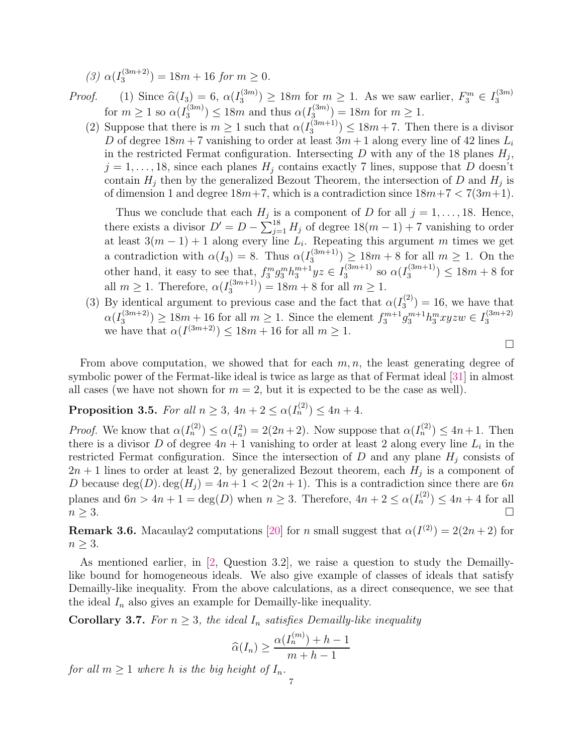(3)  $\alpha(I_3^{(3m+2)}$  $\binom{(3m+2)}{3}$  = 18m + 16 *for* m  $\geq 0$ .

- *Proof.* (1) Since  $\widehat{\alpha}(I_3) = 6$ ,  $\alpha(I_3^{(3m)})$  $\binom{(3m)}{3} \geq 18m$  for  $m \geq 1$ . As we saw earlier,  $F_3^m \in I_3^{(3m)}$ 3 for  $m \geq 1$  so  $\alpha(I_3^{(3m)}$  $\alpha_3^{(3m)}$ )  $\leq 18m$  and thus  $\alpha(I_3^{(3m)})$  $\binom{3^{(3m)}}{3} = 18m$  for  $m \geq 1$ .
	- (2) Suppose that there is  $m \geq 1$  such that  $\alpha(I_3^{(3m+1)})$  $\binom{(3m+1)}{3} \leq 18m+7$ . Then there is a divisor D of degree  $18m + 7$  vanishing to order at least  $3m + 1$  along every line of 42 lines  $L_i$ in the restricted Fermat configuration. Intersecting  $D$  with any of the 18 planes  $H_j$ ,  $j = 1, \ldots, 18$ , since each planes  $H_j$  contains exactly 7 lines, suppose that D doesn't contain  $H_j$  then by the generalized Bezout Theorem, the intersection of D and  $H_j$  is of dimension 1 and degree  $18m+7$ , which is a contradiction since  $18m+7 < 7(3m+1)$ .

Thus we conclude that each  $H_j$  is a component of D for all  $j = 1, \ldots, 18$ . Hence, there exists a divisor  $D' = D - \sum_{j=1}^{18} H_j$  of degree  $18(m-1) + 7$  vanishing to order at least  $3(m-1)+1$  along every line  $L_i$ . Repeating this argument m times we get a contradiction with  $\alpha(I_3) = 8$ . Thus  $\alpha(I_3^{(3m+1)})$  $\binom{(3m+1)}{3} \geq 18m+8$  for all  $m \geq 1$ . On the other hand, it easy to see that,  $f_3^mg_3^mh_3^{m+1}yz \in I_3^{(3m+1)}$  $\frac{(3m+1)}{3}$  so  $\alpha(I_3^{(3m+1)}$  $\binom{(3m+1)}{3} \leq 18m+8$  for all  $m \geq 1$ . Therefore,  $\alpha(I_3^{(3m+1)})$  $\binom{(3m+1)}{3} = 18m + 8$  for all  $m \geq 1$ .

(3) By identical argument to previous case and the fact that  $\alpha(I_3^{(2)})$  $3^{(2)}$ ) = 16, we have that  $\alpha(I_3^{(3m+2)}$  $\binom{(3m+2)}{3} \geq 18m+16$  for all  $m \geq 1$ . Since the element  $f_3^{m+1}g_3^{m+1}h_3^mxyzw \in I_3^{(3m+2)}$ 3 we have that  $\alpha(I^{(3m+2)}) \leq 18m + 16$  for all  $m \geq 1$ .

 $\Box$ 

From above computation, we showed that for each  $m, n$ , the least generating degree of symbolic power of the Fermat-like ideal is twice as large as that of Fermat ideal [\[31\]](#page-17-3) in almost all cases (we have not shown for  $m = 2$ , but it is expected to be the case as well).

# <span id="page-6-0"></span>**Proposition 3.5.** *For all*  $n \ge 3$ ,  $4n + 2 \le \alpha(I_n^{(2)}) \le 4n + 4$ *.*

*Proof.* We know that  $\alpha(I_n^{(2)}) \leq \alpha(I_n^2) = 2(2n+2)$ . Now suppose that  $\alpha(I_n^{(2)}) \leq 4n+1$ . Then there is a divisor D of degree  $4n + 1$  vanishing to order at least 2 along every line  $L_i$  in the restricted Fermat configuration. Since the intersection of  $D$  and any plane  $H_j$  consists of  $2n+1$  lines to order at least 2, by generalized Bezout theorem, each  $H_j$  is a component of D because  $\deg(D) \cdot \deg(H_i) = 4n + 1 < 2(2n + 1)$ . This is a contradiction since there are 6n planes and  $6n > 4n + 1 = \deg(D)$  when  $n \geq 3$ . Therefore,  $4n + 2 \leq \alpha(I_n^{(2)}) \leq 4n + 4$  for all  $n \geq 3$ .

**Remark 3.6.** Macaulay2 computations [\[20\]](#page-16-2) for n small suggest that  $\alpha(I^{(2)}) = 2(2n+2)$  for  $n \geq 3$ .

As mentioned earlier, in [\[2,](#page-15-0) Question 3.2], we raise a question to study the Demaillylike bound for homogeneous ideals. We also give example of classes of ideals that satisfy Demailly-like inequality. From the above calculations, as a direct consequence, we see that the ideal  $I_n$  also gives an example for Demailly-like inequality.

**Corollary 3.7.** For  $n \geq 3$ , the ideal  $I_n$  satisfies Demailly-like inequality

$$
\widehat{\alpha}(I_n) \ge \frac{\alpha(I_n^{(m)}) + h - 1}{m + h - 1}
$$

*for all*  $m \geq 1$  *where h is the big height of*  $I_n$ *.*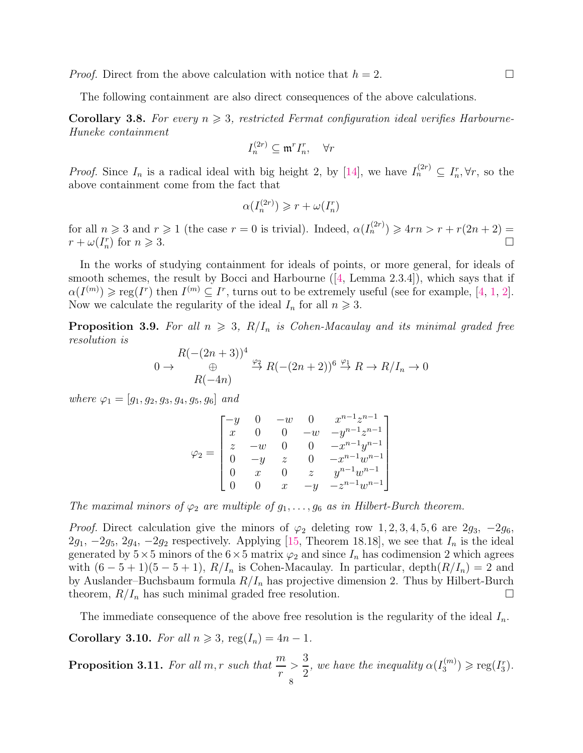*Proof.* Direct from the above calculation with notice that  $h = 2$ .

The following containment are also direct consequences of the above calculations.

<span id="page-7-0"></span>**Corollary 3.8.** For every  $n \geq 3$ , restricted Fermat configuration ideal verifies Harbourne-*Huneke containment*

$$
I_n^{(2r)} \subseteq \mathfrak{m}^r I_n^r, \quad \forall r
$$

*Proof.* Since  $I_n$  is a radical ideal with big height 2, by [\[14\]](#page-16-3), we have  $I_n^{(2r)} \subseteq I_n^r$ ,  $\forall r$ , so the above containment come from the fact that

$$
\alpha(I_n^{(2r)}) \geqslant r + \omega(I_n^r)
$$

for all  $n \geq 3$  and  $r \geq 1$  (the case  $r = 0$  is trivial). Indeed,  $\alpha(I_n^{(2r)}) \geq 4rn > r + r(2n + 2) =$  $r + \omega(I_n^r)$  for  $n \geqslant 3$ .

In the works of studying containment for ideals of points, or more general, for ideals of smooth schemes, the result by Bocci and Harbourne ([\[4,](#page-16-6) Lemma 2.3.4]), which says that if  $\alpha(I^{(m)})\geqslant \mathrm{reg}(I^r)$  then  $I^{(m)}\subseteq I^r$ , turns out to be extremely useful (see for example, [\[4,](#page-16-6) [1,](#page-15-1) [2\]](#page-15-0). Now we calculate the regularity of the ideal  $I_n$  for all  $n \geq 3$ .

**Proposition 3.9.** For all  $n \geq 3$ ,  $R/I_n$  is Cohen-Macaulay and its minimal graded free *resolution is*

$$
0 \to \begin{array}{c} R(-(2n+3))^4 \oplus R(-(2n+2))^6 \stackrel{\varphi_1}{\to} R \to R/I_n \to 0 \\ R(-4n) \end{array}
$$

*where*  $\varphi_1 = [g_1, g_2, g_3, g_4, g_5, g_6]$  *and* 

$$
\varphi_2 = \begin{bmatrix}\n-y & 0 & -w & 0 & x^{n-1}z^{n-1} \\
x & 0 & 0 & -w & -y^{n-1}z^{n-1} \\
z & -w & 0 & 0 & -x^{n-1}y^{n-1} \\
0 & -y & z & 0 & -x^{n-1}w^{n-1} \\
0 & x & 0 & z & y^{n-1}w^{n-1} \\
0 & 0 & x & -y & -z^{n-1}w^{n-1}\n\end{bmatrix}
$$

*The maximal minors of*  $\varphi_2$  *are multiple of*  $g_1, \ldots, g_6$  *as in Hilbert-Burch theorem.* 

*Proof.* Direct calculation give the minors of  $\varphi_2$  deleting row 1, 2, 3, 4, 5, 6 are 2g<sub>3</sub>,  $-2g_6$ ,  $2g_1$ ,  $-2g_5$ ,  $2g_4$ ,  $-2g_2$  respectively. Applying [\[15,](#page-16-23) Theorem 18.18], we see that  $I_n$  is the ideal generated by  $5\times 5$  minors of the  $6\times 5$  matrix  $\varphi_2$  and since  $I_n$  has codimension 2 which agrees with  $(6-5+1)(5-5+1)$ ,  $R/I_n$  is Cohen-Macaulay. In particular, depth $(R/I_n) = 2$  and by Auslander–Buchsbaum formula  $R/I_n$  has projective dimension 2. Thus by Hilbert-Burch theorem,  $R/I_n$  has such minimal graded free resolution.

The immediate consequence of the above free resolution is the regularity of the ideal  $I_n$ .

**Corollary 3.10.** *For all*  $n \geq 3$ ,  $\text{reg}(I_n) = 4n - 1$ .

<span id="page-7-1"></span> $\bf{Proposition~3.11.}$  *For all m,r such that*  $\frac{m}{m}$ r  $>$ 3 2 *, we have the inequality*  $\alpha(I_3^{(m)})$  $f_3^{(m)}$ )  $\geqslant$  reg( $I_3^r$ ). 8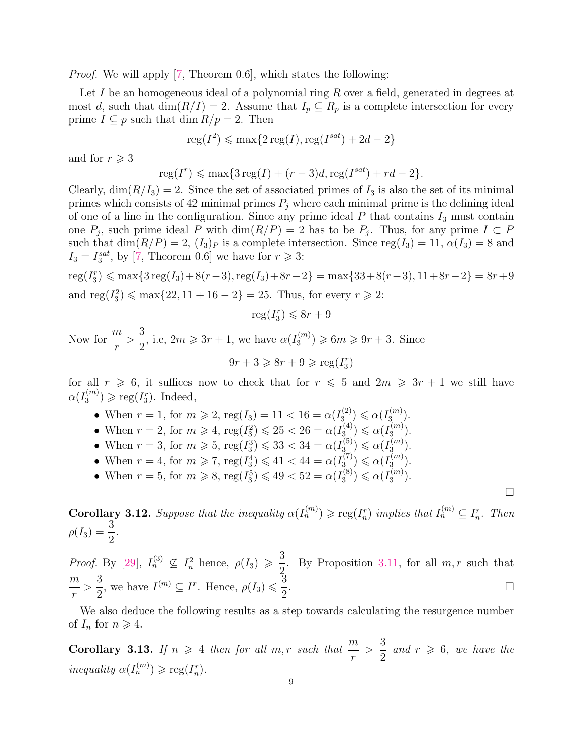*Proof.* We will apply [\[7,](#page-16-24) Theorem 0.6], which states the following:

Let I be an homogeneous ideal of a polynomial ring  $R$  over a field, generated in degrees at most d, such that  $\dim(R/I) = 2$ . Assume that  $I_p \subseteq R_p$  is a complete intersection for every prime  $I \subseteq p$  such that dim  $R/p = 2$ . Then

$$
reg(I^2) \leqslant max\{2 \operatorname{reg}(I), \operatorname{reg}(I^{sat}) + 2d - 2\}
$$

and for  $r \geqslant 3$ 

$$
reg(I^r) \leqslant \max\{3 \operatorname{reg}(I) + (r-3)d, \operatorname{reg}(I^{sat}) + rd - 2\}.
$$

Clearly,  $\dim(R/I_3) = 2$ . Since the set of associated primes of  $I_3$  is also the set of its minimal primes which consists of 42 minimal primes  $P_j$  where each minimal prime is the defining ideal of one of a line in the configuration. Since any prime ideal  $P$  that contains  $I_3$  must contain one  $P_j$ , such prime ideal P with  $\dim(R/P) = 2$  has to be  $P_j$ . Thus, for any prime  $I \subset P$ such that  $\dim(R/P) = 2$ ,  $(I_3)_P$  is a complete intersection. Since  $reg(I_3) = 11$ ,  $\alpha(I_3) = 8$  and  $I_3 = I_3^{sat}$ , by [\[7,](#page-16-24) Theorem 0.6] we have for  $r \ge 3$ :

$$
reg(I_3^r) \le \max\{3 \operatorname{reg}(I_3) + 8(r-3), \operatorname{reg}(I_3) + 8r - 2\} = \max\{33 + 8(r-3), 11 + 8r - 2\} = 8r + 9
$$
  
and 
$$
\operatorname{reg}(I_3^2) \le \max\{22, 11 + 16 - 2\} = 25
$$
. Thus, for every  $r \ge 2$ :

$$
\operatorname{reg}(I_3^r) \leqslant 8r + 9
$$

Now for  $\frac{m}{m}$ r  $>$ 3 2 , i.e,  $2m \geqslant 3r + 1$ , we have  $\alpha(I_3^{(m)})$  $3^{(m)}$   $\geqslant 6m \geqslant 9r+3$ . Since  $9r + 3 \geqslant 8r + 9 \geqslant \text{reg}(I_3^r)$ 

for all  $r \geq 6$ , it suffices now to check that for  $r \leq 5$  and  $2m \geq 3r + 1$  we still have  $\alpha(I_3^{(m)}$  $\binom{m}{3} \geqslant \text{reg}(I_3^r)$ . Indeed,

- When  $r = 1$ , for  $m \ge 2$ ,  $reg(I_3) = 11 < 16 = \alpha(I_3^{(2)})$  $\alpha(I_3^{(2)}) \leqslant \alpha(I_3^{(m)})$  $\binom{m}{3}$ .
- When  $r = 2$ , for  $m \ge 4$ ,  $\text{reg}(I_3^2) \le 25 < 26 = \alpha(I_3^{(4)})$  $\alpha({}^{(4)}_{3}) \leq \alpha(I_{3}^{(m)})$  $\binom{m}{3}$ .
- When  $r = 3$ , for  $m \ge 5$ , reg $(I_3^3) \le 33 < 34 = \alpha (I_3^{(5)})$  $\alpha(I_3^{(5)}) \leqslant \alpha(I_3^{(m)})$  $\binom{m}{3}$ .
- When  $r = 4$ , for  $m \ge 7$ ,  $reg(I_3^4) \le 41 < 44 = \alpha(I_3^{(7)})$  $\alpha(I_3^{(7)}) \leqslant \alpha(I_3^{(m)})$  $\binom{m}{3}$ .
- When  $r = 5$ , for  $m \ge 8$ ,  $reg(I_3^5) \le 49 < 52 = \alpha(I_3^{(8)})$  $\alpha({}^{(8)}_3) \leq \alpha(I_3^{(m)})$  $\binom{m}{3}$ .

**Corollary 3.12.** Suppose that the inequality  $\alpha(I_n^{(m)}) \geqslant \text{reg}(I_n^r)$  implies that  $I_n^{(m)} \subseteq I_n^r$ . Then  $\rho(I_3) = \frac{3}{2}$ *.*

 $\Box$ 

*Proof.* By [\[29\]](#page-17-0),  $I_n^{(3)} \nsubseteq I_n^2$  hence,  $\rho(I_3) \geqslant \frac{3}{2}$ 2 . By Proposition [3.11,](#page-7-1) for all  $m, r$  such that m r  $>$ 3 2 , we have  $I^{(m)} \subseteq I^r$ . Hence,  $\rho(I_3) \leqslant \frac{3}{2}$ 2 .

We also deduce the following results as a step towards calculating the resurgence number of  $I_n$  for  $n \geqslant 4$ .

**Corollary 3.13.** *If*  $n \geq 4$  *then for all*  $m, r$  *such that*  $\frac{m}{r}$ r  $>$ 3 2 *and*  $r \geq 6$ *, we have the inequality*  $\alpha(I_n^{(m)}) \geqslant \text{reg}(I_n^r)$ .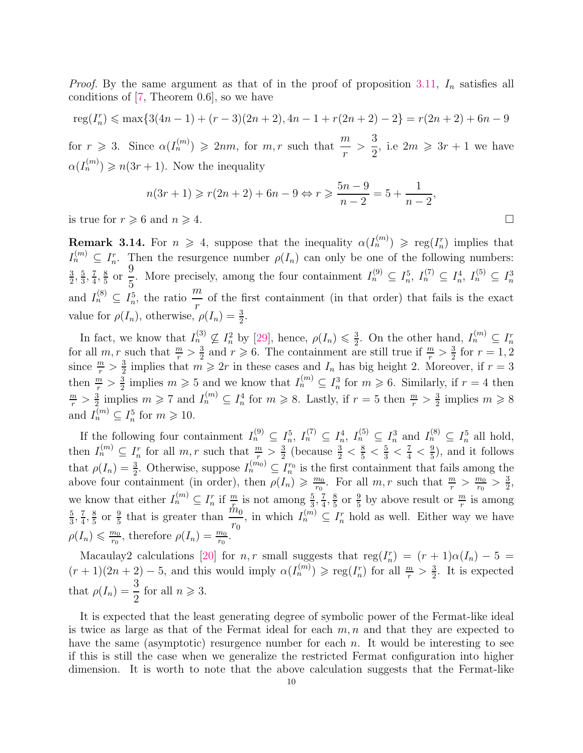*Proof.* By the same argument as that of in the proof of proposition [3.11,](#page-7-1)  $I_n$  satisfies all conditions of [\[7,](#page-16-24) Theorem 0.6], so we have

 $reg(I_n^r) \leqslant \max\{3(4n-1) + (r-3)(2n+2), 4n-1 + r(2n+2) - 2\} = r(2n+2) + 6n - 9$ for  $r \ge 3$ . Since  $\alpha(I_n^{(m)}) \ge 2nm$ , for  $m, r$  such that  $\frac{m}{r}$  $>$ 3 2 , i.e  $2m \geqslant 3r + 1$  we have

 $\alpha(I_n^{(m)}) \geqslant n(3r+1)$ . Now the inequality

$$
n(3r+1) \geqslant r(2n+2) + 6n - 9 \Leftrightarrow r \geqslant \frac{5n-9}{n-2} = 5 + \frac{1}{n-2},
$$

is true for  $r \ge 6$  and  $n \ge 4$ .

**Remark 3.14.** For  $n \geq 4$ , suppose that the inequality  $\alpha(I_n^{(m)}) \geq \text{reg}(I_n^r)$  implies that  $I_n^{(m)} \subseteq I_n^r$ . Then the resurgence number  $\rho(I_n)$  can only be one of the following numbers: 3  $\frac{3}{2}$ ,  $\frac{5}{3}$  $\frac{5}{3}, \frac{7}{4}$  $\frac{7}{4}$ ,  $\frac{8}{5}$  $\frac{8}{5}$  or 9 5 . More precisely, among the four containment  $I_n^{(9)} \subseteq I_n^5$ ,  $I_n^{(7)} \subseteq I_n^4$ ,  $I_n^{(5)} \subseteq I_n^3$ and  $I_n^{(8)} \subseteq I_n^5$ , the ratio  $\frac{m}{r}$ r of the first containment (in that order) that fails is the exact value for  $\rho(I_n)$ , otherwise,  $\rho(I_n) = \frac{3}{2}$ .

In fact, we know that  $I_n^{(3)} \nsubseteq I_n^2$  by [\[29\]](#page-17-0), hence,  $\rho(I_n) \leq \frac{3}{2}$ In fact, we know that  $I_n^{(3)} \nsubseteq I_n^2$  by [29], hence,  $\rho(I_n) \leq \frac{3}{2}$ . On the other hand,  $I_n^{(m)} \nsubseteq I_n^r$  for all  $m, r$  such that  $\frac{m}{r} > \frac{3}{2}$  and  $r \geq 6$ . The containment are still true if  $\frac{m}{r} > \frac{3}{2}$  for  $\frac{3}{2}$  and  $r \geqslant 6$ . The containment are still true if  $\frac{m}{r} > \frac{3}{2}$  $\frac{3}{2}$  for  $r = 1, 2$ since  $\frac{m}{r} > \frac{3}{2}$  $\frac{3}{2}$  implies that  $m \geqslant 2r$  in these cases and  $I_n$  has big height 2. Moreover, if  $r = 3$ then  $\frac{m}{r} > \frac{3}{2}$  $\frac{3}{2}$  implies  $m \geqslant 5$  and we know that  $I_n^{(m)} \subseteq I_n^3$  for  $m \geqslant 6$ . Similarly, if  $r = 4$  then  $\frac{m}{r} > \frac{3}{2}$  $\frac{3}{2}$  implies  $m \geq 7$  and  $I_n^{(m)} \subseteq I_n^4$  for  $m \geq 8$ . Lastly, if  $r = 5$  then  $\frac{m}{r} > \frac{3}{2}$  $\frac{3}{2}$  implies  $m \geqslant 8$ and  $I_n^{(m)} \subseteq I_n^5$  for  $m \geqslant 10$ .

If the following four containment  $I_n^{(9)} \subseteq I_n^5$ ,  $I_n^{(7)} \subseteq I_n^4$ ,  $I_n^{(5)} \subseteq I_n^3$  and  $I_n^{(8)} \subseteq I_n^5$  all hold, then  $I_n^{(m)} \subseteq I_n^r$  for all  $m, r$  such that  $\frac{m}{r} > \frac{3}{2}$  $\frac{3}{2}$  (because  $\frac{3}{2} < \frac{8}{5} < \frac{5}{3} < \frac{7}{4} < \frac{9}{5}$  $\frac{9}{5}$ , and it follows that  $\rho(I_n) = \frac{3}{2}$ . Otherwise, suppose  $I_n^{(m_0)} \subseteq I_n^{r_0}$  is the first containment that fails among the above four containment (in order), then  $\rho(I_n) \geq \frac{m_0}{r_0}$  $\frac{m_0}{r_0}$ . For all  $m, r$  such that  $\frac{m}{r} > \frac{m_0}{r_0}$  $\frac{n_0}{r_0} > \frac{3}{2}$  $\frac{3}{2}$ we know that either  $I_n^{(m)} \subseteq I_n^r$  if  $\frac{m}{x_0}$  is not among  $\frac{5}{3}, \frac{7}{4}$  $\frac{7}{4}$ ,  $\frac{8}{5}$  $\frac{8}{5}$  or  $\frac{9}{5}$  by above result or  $\frac{m}{r}$  is among 5  $\frac{5}{3}, \frac{7}{4}$  $\frac{7}{4}$ ,  $\frac{8}{5}$  $\frac{8}{5}$  or  $\frac{9}{5}$  that is greater than  $\frac{m_0}{r_0}$  $r_0$ , in which  $I_n^{(m)} \subseteq I_n^r$  hold as well. Either way we have  $\rho(I_n) \leqslant \frac{m_0}{r_0}$  $\frac{m_0}{r_0}$ , therefore  $\rho(I_n) = \frac{m_0}{r_0}$ .

Macaulay2 calculations [\[20\]](#page-16-2) for n, r small suggests that  $reg(I_n^r) = (r + 1)\alpha(I_n) - 5$  $(r+1)(2n+2)-5$ , and this would imply  $\alpha(I_n^{(m)}) \geqslant \text{reg}(I_n^r)$  for all  $\frac{m}{r} > \frac{3}{2}$  $\frac{3}{2}$ . It is expected that  $\rho(I_n) = \frac{3}{2}$ for all  $n \geqslant 3$ .

It is expected that the least generating degree of symbolic power of the Fermat-like ideal is twice as large as that of the Fermat ideal for each  $m, n$  and that they are expected to have the same (asymptotic) resurgence number for each  $n$ . It would be interesting to see if this is still the case when we generalize the restricted Fermat configuration into higher dimension. It is worth to note that the above calculation suggests that the Fermat-like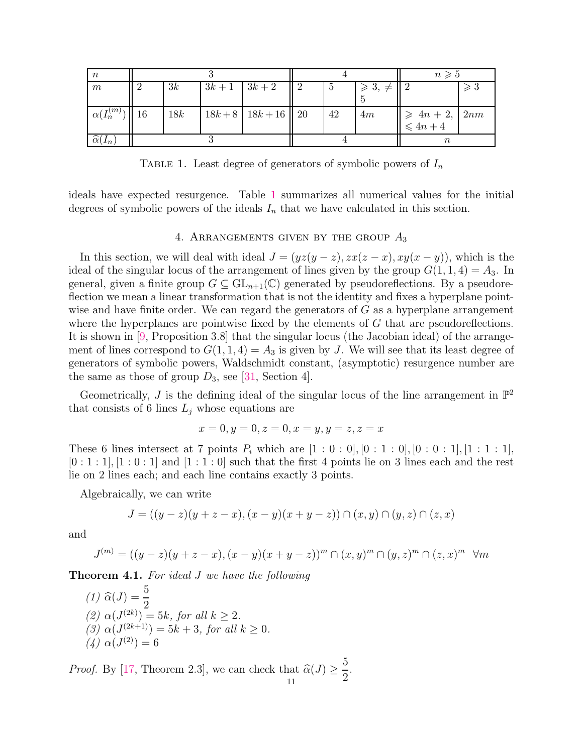<span id="page-10-0"></span>

| $\boldsymbol{n}$                        |     |                 |                       |    |                                 | $n \geqslant 5$                                                                    |               |
|-----------------------------------------|-----|-----------------|-----------------------|----|---------------------------------|------------------------------------------------------------------------------------|---------------|
| $\boldsymbol{m}$                        | 3k  | $3k+1$   $3k+2$ |                       | 15 | $\geqslant 3, \neq \parallel 2$ |                                                                                    | $\geqslant 3$ |
|                                         |     |                 |                       |    |                                 |                                                                                    |               |
| $\left\  \alpha(I_n^{(m)}) \right\ $ 16 | 18k |                 | $18k+8$ 18k + 16   20 | 42 | 4m                              |                                                                                    |               |
|                                         |     |                 |                       |    |                                 | $\left\ \geqslant\begin{array}{c} 4n+2, \\ \leqslant 4n+4 \end{array}\right \ 2nm$ |               |
| $\alpha(I_n)$                           |     |                 |                       |    |                                 | $\it n$                                                                            |               |

TABLE 1. Least degree of generators of symbolic powers of  $I_n$ 

ideals have expected resurgence. Table [1](#page-10-0) summarizes all numerical values for the initial degrees of symbolic powers of the ideals  $I_n$  that we have calculated in this section.

### 4. ARRANGEMENTS GIVEN BY THE GROUP  $A_3$

In this section, we will deal with ideal  $J = (yz(y - z), zx(z - x), xy(x - y))$ , which is the ideal of the singular locus of the arrangement of lines given by the group  $G(1, 1, 4) = A_3$ . In general, given a finite group  $G \subseteq GL_{n+1}(\mathbb{C})$  generated by pseudoreflections. By a pseudoreflection we mean a linear transformation that is not the identity and fixes a hyperplane pointwise and have finite order. We can regard the generators of  $G$  as a hyperplane arrangement where the hyperplanes are pointwise fixed by the elements of  $G$  that are pseudoreflections. It is shown in [\[9,](#page-16-11) Proposition 3.8] that the singular locus (the Jacobian ideal) of the arrangement of lines correspond to  $G(1, 1, 4) = A_3$  is given by J. We will see that its least degree of generators of symbolic powers, Waldschmidt constant, (asymptotic) resurgence number are the same as those of group  $D_3$ , see [\[31,](#page-17-3) Section 4].

Geometrically, J is the defining ideal of the singular locus of the line arrangement in  $\mathbb{P}^2$ that consists of 6 lines  $L_i$  whose equations are

$$
x = 0, y = 0, z = 0, x = y, y = z, z = x
$$

These 6 lines intersect at 7 points  $P_i$  which are  $[1:0:0], [0:1:0], [0:0:1], [1:1:1],$  $[0:1:1], [1:0:1]$  and  $[1:1:0]$  such that the first 4 points lie on 3 lines each and the rest lie on 2 lines each; and each line contains exactly 3 points.

Algebraically, we can write

$$
J = ((y-z)(y+z-x), (x-y)(x+y-z)) \cap (x, y) \cap (y, z) \cap (z, x)
$$

and

$$
J^{(m)} = ((y - z)(y + z - x), (x - y)(x + y - z))^m \cap (x, y)^m \cap (y, z)^m \cap (z, x)^m \quad \forall m
$$

Theorem 4.1. *For ideal* J *we have the following*

(1) 
$$
\hat{\alpha}(J) = \frac{5}{2}
$$
  
\n(2)  $\alpha(J^{(2k)}) = 5k$ , for all  $k \ge 2$ .  
\n(3)  $\alpha(J^{(2k+1)}) = 5k + 3$ , for all  $k \ge 0$ .  
\n(4)  $\alpha(J^{(2)}) = 6$ 

*Proof.* By [\[17,](#page-16-25) Theorem 2.3], we can check that  $\widehat{\alpha}(J) \geq$ 5 2 . 11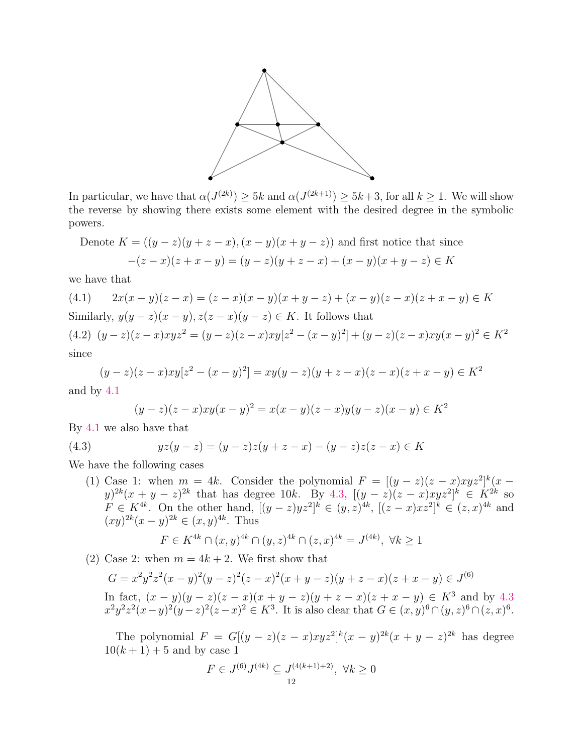

In particular, we have that  $\alpha(J^{(2k)}) \geq 5k$  and  $\alpha(J^{(2k+1)}) \geq 5k+3$ , for all  $k \geq 1$ . We will show the reverse by showing there exists some element with the desired degree in the symbolic powers.

Denote 
$$
K = ((y - z)(y + z - x), (x - y)(x + y - z))
$$
 and first notice that since  

$$
-(z - x)(z + x - y) = (y - z)(y + z - x) + (x - y)(x + y - z) \in K
$$

we have that

<span id="page-11-0"></span>(4.1) 
$$
2x(x - y)(z - x) = (z - x)(x - y)(x + y - z) + (x - y)(z - x)(z + x - y) \in K
$$
  
Similarly,  $y(y - z)(x - y), z(z - x)(y - z) \in K$ . It follows that  
(4.2)  $(y - z)(z - x)xyz^2 = (y - z)(z - x)xy[z^2 - (x - y)^2] + (y - z)(z - x)xy(x - y)^2 \in K^2$   
since

<span id="page-11-2"></span>
$$
(y-z)(z-x)xy[z^2-(x-y)^2] = xy(y-z)(y+z-x)(z-x)(z+x-y) \in K^2
$$

and by [4.1](#page-11-0)

<span id="page-11-1"></span>
$$
(y-z)(z-x)xy(x-y)^2 = x(x-y)(z-x)y(y-z)(x-y) \in K^2
$$

By [4.1](#page-11-0) we also have that

(4.3) 
$$
yz(y - z) = (y - z)z(y + z - x) - (y - z)z(z - x) \in K
$$

We have the following cases

(1) Case 1: when  $m = 4k$ . Consider the polynomial  $F = [(y - z)(z - x)xyz^2]^{k}(x - z)$  $(y)^{2k}(x+y-z)^{2k}$  that has degree 10k. By [4.3,](#page-11-1)  $[(y-z)(z-x)xyz^{2}]^{k} \in K^{2k}$  so  $F \in K^{4k}$ . On the other hand,  $[(y-z)yz^2]^k$  ∈  $(y, z)^{4k}$ ,  $[(z-x)xz^2]^k$  ∈  $(z, x)^{4k}$  and  $(xy)^{2k}(x-y)^{2k} \in (x,y)^{4k}$ . Thus

$$
F \in K^{4k} \cap (x, y)^{4k} \cap (y, z)^{4k} \cap (z, x)^{4k} = J^{(4k)}, \ \forall k \ge 1
$$

(2) Case 2: when  $m = 4k + 2$ . We first show that

$$
G = x^{2}y^{2}z^{2}(x - y)^{2}(y - z)^{2}(z - x)^{2}(x + y - z)(y + z - x)(z + x - y) \in J^{(6)}
$$
  
In fact,  $(x - y)(y - z)(z - x)(x + y - z)(y + z - x)(z + x - y) \in K^{3}$  and by 4.3

 $x^2y^2z^2(x-y)^2(y-z)^2(z-x)^2 \in K^3$ . It is also clear that  $G \in (x,y)^6 \cap (y,z)^6 \cap (z,x)^6$ .

The polynomial  $F = G[(y - z)(z - x)xyz^2]^k(x - y)^{2k}(x + y - z)^{2k}$  has degree  $10(k + 1) + 5$  and by case 1

$$
F \in J^{(6)}J^{(4k)} \subseteq J^{(4(k+1)+2)} \setminus \forall k \ge 0
$$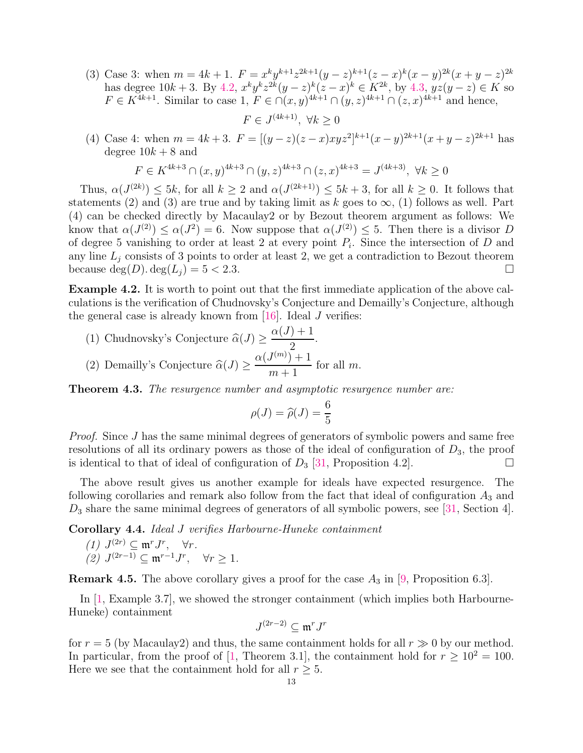- (3) Case 3: when  $m = 4k + 1$ .  $F = x^k y^{k+1} z^{2k+1} (y z)^{k+1} (z x)^k (x y)^{2k} (x + y z)^{2k}$ has degree  $10k+3$ . By  $4.2, x^k y^k z^{2k} (y-z)^k (z-x)^k \in K^{2k}$  $4.2, x^k y^k z^{2k} (y-z)^k (z-x)^k \in K^{2k}$ , by  $4.3, yz(y-z) \in K$  $4.3, yz(y-z) \in K$  so  $F \in K^{4k+1}$ . Similar to case 1,  $F \in \bigcap (x,y)^{4k+1} \cap (y,z)^{4k+1} \cap (z,x)^{4k+1}$  and hence,
- (4) Case 4: when  $m = 4k + 3$ .  $F = [(y z)(z x)xyz^2]^{k+1}(x y)^{2k+1}(x + y z)^{2k+1}$  has degree  $10k + 8$  and

 $F \in J^{(4k+1)}$ ,  $\forall k \geq 0$ 

$$
F \in K^{4k+3} \cap (x,y)^{4k+3} \cap (y,z)^{4k+3} \cap (z,x)^{4k+3} = J^{(4k+3)}, \ \forall k \ge 0
$$

Thus,  $\alpha(J^{(2k)}) \leq 5k$ , for all  $k \geq 2$  and  $\alpha(J^{(2k+1)}) \leq 5k+3$ , for all  $k \geq 0$ . It follows that statements (2) and (3) are true and by taking limit as k goes to  $\infty$ , (1) follows as well. Part (4) can be checked directly by Macaulay2 or by Bezout theorem argument as follows: We know that  $\alpha(J^{(2)}) \leq \alpha(J^2) = 6$ . Now suppose that  $\alpha(J^{(2)}) \leq 5$ . Then there is a divisor D of degree 5 vanishing to order at least 2 at every point  $P_i$ . Since the intersection of D and any line  $L_i$  consists of 3 points to order at least 2, we get a contradiction to Bezout theorem because  $\deg(D) \cdot \deg(L_i) = 5 < 2.3$ .

Example 4.2. It is worth to point out that the first immediate application of the above calculations is the verification of Chudnovsky's Conjecture and Demailly's Conjecture, although the general case is already known from [\[16\]](#page-16-12). Ideal J verifies:

(1) Chudnovsky's Conjecture  $\widehat{\alpha}(J) \geq$  $\alpha(J)+1$ 2 . (2) Demailly's Conjecture  $\widehat{\alpha}(J) \geq$  $\alpha(J^{(m)})+1$  $m+1$ for all  $m$ .

Theorem 4.3. *The resurgence number and asymptotic resurgence number are:*

$$
\rho(J) = \widehat{\rho}(J) = \frac{6}{5}
$$

*Proof.* Since J has the same minimal degrees of generators of symbolic powers and same free resolutions of all its ordinary powers as those of the ideal of configuration of  $D_3$ , the proof is identical to that of ideal of configuration of  $D_3$  [\[31,](#page-17-3) Proposition 4.2].

The above result gives us another example for ideals have expected resurgence. The following corollaries and remark also follow from the fact that ideal of configuration  $A_3$  and  $D_3$  share the same minimal degrees of generators of all symbolic powers, see [\[31,](#page-17-3) Section 4].

Corollary 4.4. *Ideal* J *verifies Harbourne-Huneke containment*

$$
(1) \ J^{(2r)} \subseteq \mathfrak{m}^r J^r, \quad \forall r.
$$
  

$$
(2) \ J^{(2r-1)} \subseteq \mathfrak{m}^{r-1} J^r, \quad \forall r \ge 1.
$$

**Remark 4.5.** The above corollary gives a proof for the case  $A_3$  in [\[9,](#page-16-11) Proposition 6.3].

In [\[1,](#page-15-1) Example 3.7], we showed the stronger containment (which implies both Harbourne-Huneke) containment

$$
J^{(2r-2)}\subseteq \mathfrak{m}^rJ^r
$$

for  $r = 5$  (by Macaulay2) and thus, the same containment holds for all  $r \gg 0$  by our method. In particular, from the proof of [\[1,](#page-15-1) Theorem 3.1], the containment hold for  $r \geq 10^2 = 100$ . Here we see that the containment hold for all  $r \geq 5$ .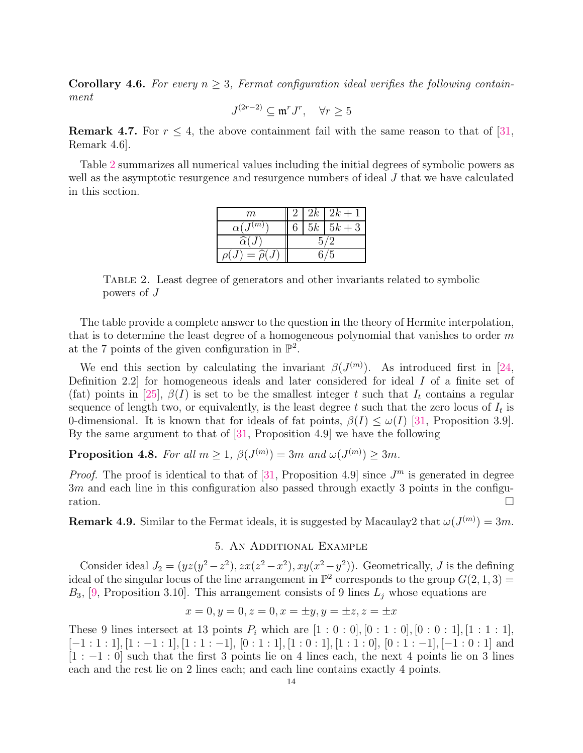**Corollary 4.6.** For every  $n \geq 3$ , Fermat configuration ideal verifies the following contain*ment*

$$
J^{(2r-2)}\subseteq \mathfrak{m}^r J^r, \quad \forall r\geq 5
$$

**Remark 4.7.** For  $r \leq 4$ , the above containment fail with the same reason to that of [\[31,](#page-17-3) Remark 4.6].

<span id="page-13-0"></span>Table [2](#page-13-0) summarizes all numerical values including the initial degrees of symbolic powers as well as the asymptotic resurgence and resurgence numbers of ideal J that we have calculated in this section.

| m                            |  | $2k$ $2k+1$ |  |
|------------------------------|--|-------------|--|
| $\alpha(J^{(\overline{m})})$ |  | $5k$ $5k+3$ |  |
| $\widehat{\alpha}(J)$        |  |             |  |
| $= \widehat{\rho}(J)$        |  | 5           |  |

Table 2. Least degree of generators and other invariants related to symbolic powers of J

The table provide a complete answer to the question in the theory of Hermite interpolation, that is to determine the least degree of a homogeneous polynomial that vanishes to order  $m$ at the 7 points of the given configuration in  $\mathbb{P}^2$ .

We end this section by calculating the invariant  $\beta(J^{(m)})$ . As introduced first in [\[24,](#page-16-10) Definition 2.2] for homogeneous ideals and later considered for ideal I of a finite set of (fat) points in [\[25\]](#page-16-1),  $\beta(I)$  is set to be the smallest integer t such that  $I_t$  contains a regular sequence of length two, or equivalently, is the least degree  $t$  such that the zero locus of  $I_t$  is 0-dimensional. It is known that for ideals of fat points,  $\beta(I) \leq \omega(I)$  [\[31,](#page-17-3) Proposition 3.9]. By the same argument to that of [\[31,](#page-17-3) Proposition 4.9] we have the following

**Proposition 4.8.** *For all*  $m \geq 1$ ,  $\beta(J^{(m)}) = 3m$  *and*  $\omega(J^{(m)}) \geq 3m$ *.* 

*Proof.* The proof is identical to that of [\[31,](#page-17-3) Proposition 4.9] since  $J<sup>m</sup>$  is generated in degree 3m and each line in this configuration also passed through exactly 3 points in the configu- $\Box$ 

**Remark 4.9.** Similar to the Fermat ideals, it is suggested by Macaulay2 that  $\omega(J^{(m)}) = 3m$ .

### 5. An Additional Example

Consider ideal  $J_2 = (yz(y^2 - z^2), zx(z^2 - x^2), xy(x^2 - y^2))$ . Geometrically, J is the defining ideal of the singular locus of the line arrangement in  $\mathbb{P}^2$  corresponds to the group  $G(2,1,3) =$  $B_3$ , [\[9,](#page-16-11) Proposition 3.10]. This arrangement consists of 9 lines  $L_j$  whose equations are

$$
x = 0, y = 0, z = 0, x = \pm y, y = \pm z, z = \pm x
$$

These 9 lines intersect at 13 points  $P_i$  which are  $[1:0:0], [0:1:0], [0:0:1], [1:1:1],$  $[-1:1:1], [1:-1:1], [1:1:-1], [0:1:1], [1:0:1], [1:1:0], [0:1:-1], [-1:0:1]$  and  $[1:-1:0]$  such that the first 3 points lie on 4 lines each, the next 4 points lie on 3 lines each and the rest lie on 2 lines each; and each line contains exactly 4 points.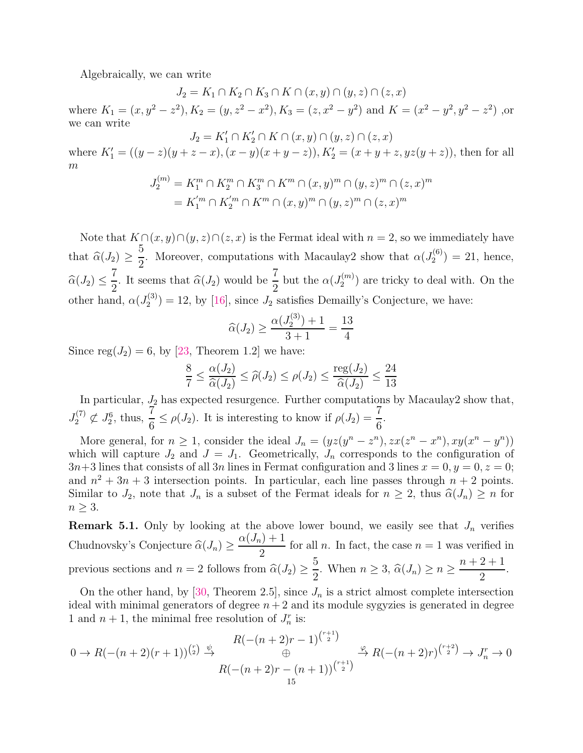Algebraically, we can write

 $J_2 = K_1 \cap K_2 \cap K_3 \cap K \cap (x, y) \cap (y, z) \cap (z, x)$ 

where  $K_1 = (x, y^2 - z^2), K_2 = (y, z^2 - x^2), K_3 = (z, x^2 - y^2)$  and  $K = (x^2 - y^2, y^2 - z^2)$ , or we can write

 $J_2 = K'_1 \cap K'_2 \cap K \cap (x, y) \cap (y, z) \cap (z, x)$ where  $K'_1 = ((y - z)(y + z - x), (x - y)(x + y - z)), K'_2 = (x + y + z, yz(y + z)),$  then for all  $\overline{m}$ 

$$
J_2^{(m)} = K_1^m \cap K_2^m \cap K_3^m \cap K^m \cap (x, y)^m \cap (y, z)^m \cap (z, x)^m
$$
  
=  $K_1^{'m} \cap K_2^{'m} \cap K^m \cap (x, y)^m \cap (y, z)^m \cap (z, x)^m$ 

Note that  $K \cap (x, y) \cap (y, z) \cap (z, x)$  is the Fermat ideal with  $n = 2$ , so we immediately have that  $\widehat{\alpha}(J_2) \geq$ 5 2 . Moreover, computations with Macaulay 2 show that  $\alpha(J_2^{(6)})$  $2^{(0)}$  = 21, hence,  $\widehat{\alpha}(J_2) \leq$ 7  $\frac{7}{2}$ . It seems that  $\widehat{\alpha}(J_2)$  would be  $\frac{7}{2}$ but the  $\alpha(J_2^{(m)}$  $2^{(m)}$  are tricky to deal with. On the other hand,  $\alpha(J_2^{(3)}$  $Z_2^{(3)}$  = 12, by [\[16\]](#page-16-12), since  $J_2$  satisfies Demailly's Conjecture, we have:

$$
\widehat{\alpha}(J_2) \ge \frac{\alpha(J_2^{(3)}) + 1}{3 + 1} = \frac{13}{4}
$$

Since reg $(J_2) = 6$ , by [\[23,](#page-16-7) Theorem 1.2] we have:

$$
\frac{8}{7} \le \frac{\alpha(J_2)}{\widehat{\alpha}(J_2)} \le \widehat{\rho}(J_2) \le \rho(J_2) \le \frac{\text{reg}(J_2)}{\widehat{\alpha}(J_2)} \le \frac{24}{13}
$$

In particular,  $J_2$  has expected resurgence. Further computations by Macaulay2 show that,  $J_{2}^{\left( 7\right) }$  $J_2^{(7)} \not\subset J_2^6$ , thus,  $\frac{7}{6}$  $\frac{7}{6} \leq \rho(J_2)$ . It is interesting to know if  $\rho(J_2) = \frac{7}{6}$ .

More general, for  $n \geq 1$ , consider the ideal  $J_n = (yz(y^n - z^n), zx(z^n - x^n), xy(x^n - y^n))$ which will capture  $J_2$  and  $J = J_1$ . Geometrically,  $J_n$  corresponds to the configuration of  $3n+3$  lines that consists of all 3n lines in Fermat configuration and 3 lines  $x = 0, y = 0, z = 0;$ and  $n^2 + 3n + 3$  intersection points. In particular, each line passes through  $n + 2$  points. Similar to  $J_2$ , note that  $J_n$  is a subset of the Fermat ideals for  $n \geq 2$ , thus  $\widehat{\alpha}(J_n) \geq n$  for  $n \geq 3$ .

**Remark 5.1.** Only by looking at the above lower bound, we easily see that  $J_n$  verifies Chudnovsky's Conjecture  $\widehat{\alpha}(J_n) \geq$  $\alpha(J_n)+1$ 2 for all *n*. In fact, the case  $n = 1$  was verified in previous sections and  $n = 2$  follows from  $\widehat{\alpha}(J_2) \ge$ 5  $\frac{3}{2}$ . When  $n \geq 3$ ,  $\widehat{\alpha}(J_n) \geq n \geq$  $n + 2 + 1$ 2 .

On the other hand, by [\[30,](#page-17-1) Theorem 2.5], since  $J_n$  is a strict almost complete intersection ideal with minimal generators of degree  $n + 2$  and its module sygyzies is generated in degree 1 and  $n + 1$ , the minimal free resolution of  $J_n^r$  is:

$$
0 \to R(-(n+2)(r+1))^{r \choose 2} \stackrel{\psi}{\to} \frac{R(-(n+2)r-1)^{r+1 \choose 2}}{R(-(n+2)r - (n+1))^{r+1 \choose 2}} \stackrel{\varphi}{\to} R(-(n+2)r)^{r+2 \choose 2} \to J_n^r \to 0
$$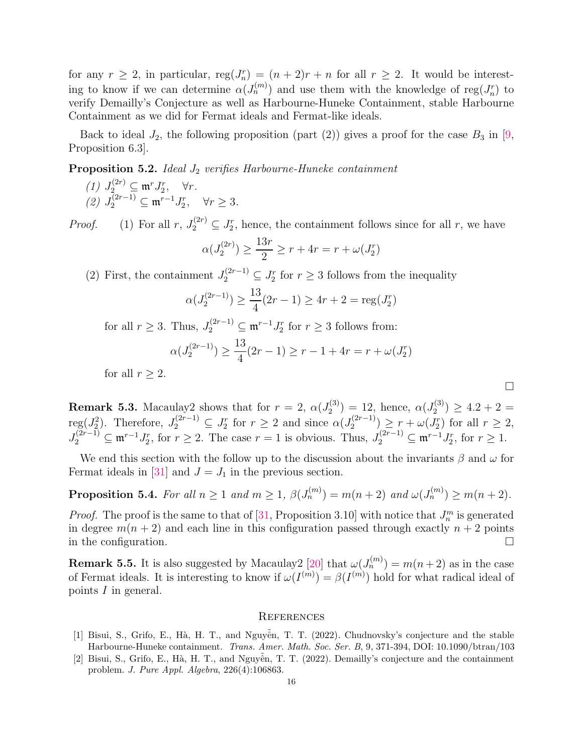for any  $r \geq 2$ , in particular,  $reg(J_n^r) = (n+2)r + n$  for all  $r \geq 2$ . It would be interesting to know if we can determine  $\alpha(J_n^{(m)})$  and use them with the knowledge of reg $(J_n^r)$  to verify Demailly's Conjecture as well as Harbourne-Huneke Containment, stable Harbourne Containment as we did for Fermat ideals and Fermat-like ideals.

Back to ideal  $J_2$ , the following proposition (part (2)) gives a proof for the case  $B_3$  in [\[9,](#page-16-11) Proposition 6.3].

Proposition 5.2. *Ideal*  $J_2$  *verifies Harbourne-Huneke containment* 

- $(1)$   $J_2^{(2r)} \subseteq \mathfrak{m}^r J_2^r$ ,  $\forall r$ .
- $(2) J_2^{(2r-1)} ⊆ m^{r-1}J_2^r$ , ∀r ≥ 3*.*

*Proof.* (1) For all  $r, J_2^{(2r)} \subseteq J_2^r$ , hence, the containment follows since for all  $r$ , we have

$$
\alpha(J_2^{(2r)}) \ge \frac{13r}{2} \ge r + 4r = r + \omega(J_2^r)
$$

(2) First, the containment  $J_2^{(2r-1)} \subseteq J_2^r$  for  $r \geq 3$  follows from the inequality

$$
\alpha(J_2^{(2r-1)}) \ge \frac{13}{4}(2r-1) \ge 4r+2 = \text{reg}(J_2^r)
$$

for all  $r \geq 3$ . Thus,  $J_2^{(2r-1)} \subseteq \mathfrak{m}^{r-1} J_2^r$  for  $r \geq 3$  follows from:  $\alpha(J_2^{(2r-1)}$  $\binom{(2r-1)}{2}$   $\geq$ 13 4  $(2r - 1) \ge r - 1 + 4r = r + \omega(J_2^r)$ 

for all  $r \geq 2$ .

**Remark 5.3.** Macaulay2 shows that for  $r = 2$ ,  $\alpha(J_2^{(3)}) = 12$ , hence,  $\alpha(J_2^{(3)}) \ge 4.2 + 2 =$ 2  $-12$ , hence,  $\alpha_2$ reg( $J_2^2$ ). Therefore,  $J_2^{(2r-1)} \subseteq J_2^r$  for  $r \geq 2$  and since  $\alpha(J_2^{(2r-1)})$  $\left(\begin{matrix}2r-1\\2\end{matrix}\right) \geq r + \omega(J_2^r)$  for all  $r \geq 2$ ,  $J_2^{(2r-1)} \subseteq \mathfrak{m}^{r-1} J_2^r$ , for  $r \geq 2$ . The case  $r = 1$  is obvious. Thus,  $J_2^{(2r-1)} \subseteq \mathfrak{m}^{r-1} J_2^r$ , for  $r \geq 1$ .

We end this section with the follow up to the discussion about the invariants  $\beta$  and  $\omega$  for Fermat ideals in [\[31\]](#page-17-3) and  $J = J_1$  in the previous section.

Proposition 5.4. *For all*  $n \geq 1$  *and*  $m \geq 1$ ,  $\beta(J_n^{(m)}) = m(n+2)$  *and*  $\omega(J_n^{(m)}) \geq m(n+2)$ *.* 

*Proof.* The proof is the same to that of [\[31,](#page-17-3) Proposition 3.10] with notice that  $J_n^m$  is generated in degree  $m(n + 2)$  and each line in this configuration passed through exactly  $n + 2$  points in the configuration.  $\Box$ 

**Remark 5.5.** It is also suggested by Macaulay2 [\[20\]](#page-16-2) that  $\omega(J_n^{(m)}) = m(n+2)$  as in the case of Fermat ideals. It is interesting to know if  $\omega(I^{(m)}) = \beta(I^{(m)})$  hold for what radical ideal of points I in general.

### **REFERENCES**

- <span id="page-15-1"></span>[1] Bisui, S., Grifo, E., Hà, H. T., and Nguyễn, T. T. (2022). Chudnovsky's conjecture and the stable Harbourne-Huneke containment. *Trans. Amer. Math. Soc. Ser. B*, 9, 371-394, DOI: 10.1090/btran/103
- <span id="page-15-0"></span>[2] Bisui, S., Grifo, E., Hà, H. T., and Nguyễn, T. T. (2022). Demailly's conjecture and the containment problem. *J. Pure Appl. Algebra*, 226(4):106863.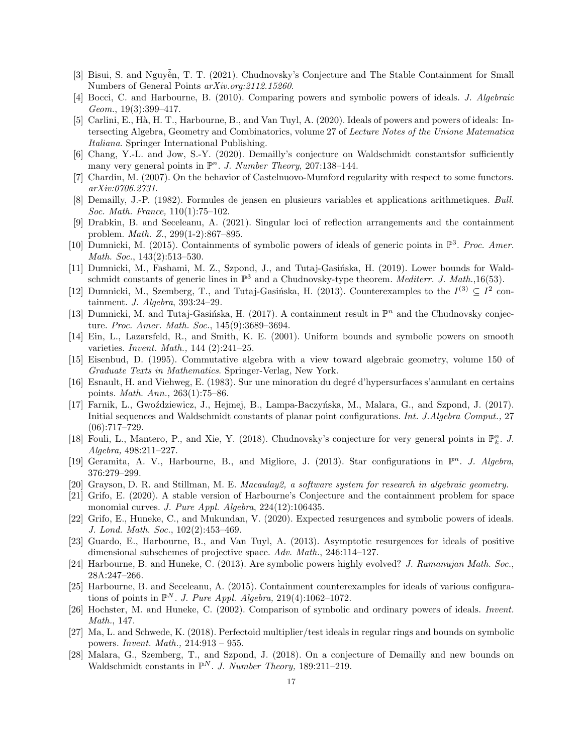- <span id="page-16-17"></span><span id="page-16-6"></span>[3] Bisui, S. and Nguyễn, T. T. (2021). Chudnovsky's Conjecture and The Stable Containment for Small Numbers of General Points *arXiv.org:2112.15260*.
- [4] Bocci, C. and Harbourne, B. (2010). Comparing powers and symbolic powers of ideals. *J. Algebraic Geom.*, 19(3):399–417.
- <span id="page-16-22"></span>[5] Carlini, E., Hà, H. T., Harbourne, B., and Van Tuyl, A. (2020). Ideals of powers and powers of ideals: Intersecting Algebra, Geometry and Combinatorics, volume 27 of *Lecture Notes of the Unione Matematica Italiana*. Springer International Publishing.
- <span id="page-16-24"></span><span id="page-16-21"></span>[6] Chang, Y.-L. and Jow, S.-Y. (2020). Demailly's conjecture on Waldschmidt constantsfor sufficiently many very general points in  $\mathbb{P}^n$ . *J. Number Theory*, 207:138-144.
- <span id="page-16-19"></span>[7] Chardin, M. (2007). On the behavior of Castelnuovo-Mumford regularity with respect to some functors. *arXiv:0706.2731*.
- <span id="page-16-11"></span>[8] Demailly, J.-P. (1982). Formules de jensen en plusieurs variables et applications arithmetiques. *Bull. Soc. Math. France,* 110(1):75–102.
- [9] Drabkin, B. and Seceleanu, A. (2021). Singular loci of reflection arrangements and the containment problem. *Math. Z.*, 299(1-2):867–895.
- <span id="page-16-14"></span>[10] Dumnicki, M. (2015). Containments of symbolic powers of ideals of generic points in P 3 . *Proc. Amer. Math. Soc.*, 143(2):513–530.
- <span id="page-16-18"></span>[11] Dumnicki, M., Fashami, M. Z., Szpond, J., and Tutaj-Gasińska, H. (2019). Lower bounds for Waldschmidt constants of generic lines in  $\mathbb{P}^3$  and a Chudnovsky-type theorem. *Mediterr. J. Math.*,16(53).
- <span id="page-16-0"></span>[12] Dumnicki, M., Szemberg, T., and Tutaj-Gasińska, H. (2013). Counterexamples to the  $I^{(3)} \subseteq I^2$  containment. *J. Algebra*, 393:24–29.
- <span id="page-16-15"></span>[13] Dumnicki, M. and Tutaj-Gasińska, H. (2017). A containment result in  $\mathbb{P}^n$  and the Chudnovsky conjecture. *Proc. Amer. Math. Soc.*, 145(9):3689–3694.
- <span id="page-16-3"></span>[14] Ein, L., Lazarsfeld, R., and Smith, K. E. (2001). Uniform bounds and symbolic powers on smooth varieties. *Invent. Math.,* 144 (2):241–25.
- <span id="page-16-23"></span>[15] Eisenbud, D. (1995). Commutative algebra with a view toward algebraic geometry, volume 150 of *Graduate Texts in Mathematics*. Springer-Verlag, New York.
- <span id="page-16-12"></span>[16] Esnault, H. and Viehweg, E. (1983). Sur une minoration du degré d'hypersurfaces s'annulant en certains points. *Math. Ann.,* 263(1):75–86.
- <span id="page-16-25"></span>[17] Farnik, L., Gwoździewicz, J., Hejmej, B., Lampa-Baczyńska, M., Malara, G., and Szpond, J. (2017). Initial sequences and Waldschmidt constants of planar point configurations. *Int. J.Algebra Comput.,* 27  $(06):717-729.$
- <span id="page-16-16"></span>[18] Fouli, L., Mantero, P., and Xie, Y. (2018). Chudnovsky's conjecture for very general points in  $\mathbb{P}_k^n$ . J. *Algebra,* 498:211–227.
- <span id="page-16-13"></span><span id="page-16-2"></span>[19] Geramita, A. V., Harbourne, B., and Migliore, J. (2013). Star configurations in  $\mathbb{P}^n$ . *J. Algebra*, 376:279–299.
- <span id="page-16-8"></span>[20] Grayson, D. R. and Stillman, M. E. *Macaulay2, a software system for research in algebraic geometry.*
- [21] Grifo, E. (2020). A stable version of Harbourne's Conjecture and the containment problem for space monomial curves. *J. Pure Appl. Algebra*, 224(12):106435.
- <span id="page-16-9"></span>[22] Grifo, E., Huneke, C., and Mukundan, V. (2020). Expected resurgences and symbolic powers of ideals. *J. Lond. Math. Soc.*, 102(2):453–469.
- <span id="page-16-7"></span>[23] Guardo, E., Harbourne, B., and Van Tuyl, A. (2013). Asymptotic resurgences for ideals of positive dimensional subschemes of projective space. *Adv. Math.*, 246:114–127.
- <span id="page-16-10"></span><span id="page-16-1"></span>[24] Harbourne, B. and Huneke, C. (2013). Are symbolic powers highly evolved? *J. Ramanujan Math. Soc.*, 28A:247–266.
- [25] Harbourne, B. and Seceleanu, A. (2015). Containment counterexamples for ideals of various configurations of points in  $\mathbb{P}^N$ . *J. Pure Appl. Algebra,* 219(4):1062-1072.
- <span id="page-16-4"></span>[26] Hochster, M. and Huneke, C. (2002). Comparison of symbolic and ordinary powers of ideals. *Invent. Math.*, 147.
- <span id="page-16-5"></span>[27] Ma, L. and Schwede, K. (2018). Perfectoid multiplier/test ideals in regular rings and bounds on symbolic powers. *Invent. Math.,* 214:913 – 955.
- <span id="page-16-20"></span>[28] Malara, G., Szemberg, T., and Szpond, J. (2018). On a conjecture of Demailly and new bounds on Waldschmidt constants in  $\mathbb{P}^N$ . *J. Number Theory*, 189:211-219.